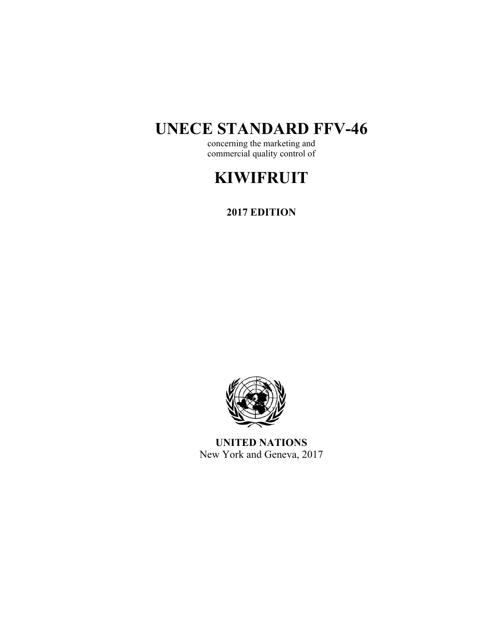# **UNECE STANDARD FFV-46**

concerning the marketing and commercial quality control of

# **KIWIFRUIT**

**2017 EDITION** 



**UNITED NATIONS**  New York and Geneva, 2017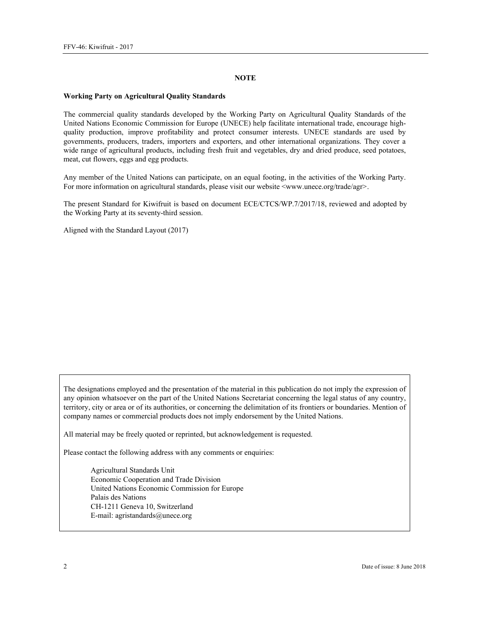#### **NOTE**

#### **Working Party on Agricultural Quality Standards**

The commercial quality standards developed by the Working Party on Agricultural Quality Standards of the United Nations Economic Commission for Europe (UNECE) help facilitate international trade, encourage highquality production, improve profitability and protect consumer interests. UNECE standards are used by governments, producers, traders, importers and exporters, and other international organizations. They cover a wide range of agricultural products, including fresh fruit and vegetables, dry and dried produce, seed potatoes, meat, cut flowers, eggs and egg products.

Any member of the United Nations can participate, on an equal footing, in the activities of the Working Party. For more information on agricultural standards, please visit our website <www.unece.org/trade/agr>.

The present Standard for Kiwifruit is based on document ECE/CTCS/WP.7/2017/18, reviewed and adopted by the Working Party at its seventy-third session.

Aligned with the Standard Layout (2017)

The designations employed and the presentation of the material in this publication do not imply the expression of any opinion whatsoever on the part of the United Nations Secretariat concerning the legal status of any country, territory, city or area or of its authorities, or concerning the delimitation of its frontiers or boundaries. Mention of company names or commercial products does not imply endorsement by the United Nations.

All material may be freely quoted or reprinted, but acknowledgement is requested.

Please contact the following address with any comments or enquiries:

Agricultural Standards Unit Economic Cooperation and Trade Division United Nations Economic Commission for Europe Palais des Nations CH-1211 Geneva 10, Switzerland E-mail: agristandards@unece.org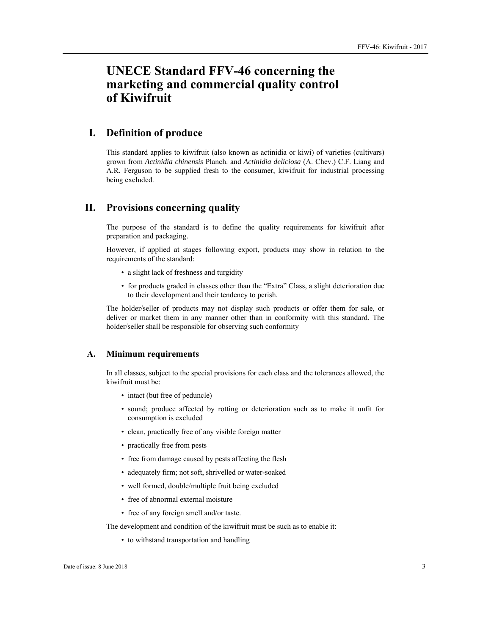# **UNECE Standard FFV-46 concerning the marketing and commercial quality control of Kiwifruit**

# **I. Definition of produce**

This standard applies to kiwifruit (also known as actinidia or kiwi) of varieties (cultivars) grown from *Actinidia chinensis* Planch. and *Actinidia deliciosa* (A. Chev.) C.F. Liang and A.R. Ferguson to be supplied fresh to the consumer, kiwifruit for industrial processing being excluded.

# **II. Provisions concerning quality**

The purpose of the standard is to define the quality requirements for kiwifruit after preparation and packaging.

However, if applied at stages following export, products may show in relation to the requirements of the standard:

- a slight lack of freshness and turgidity
- for products graded in classes other than the "Extra" Class, a slight deterioration due to their development and their tendency to perish.

The holder/seller of products may not display such products or offer them for sale, or deliver or market them in any manner other than in conformity with this standard. The holder/seller shall be responsible for observing such conformity

#### **A. Minimum requirements**

In all classes, subject to the special provisions for each class and the tolerances allowed, the kiwifruit must be:

- intact (but free of peduncle)
- sound; produce affected by rotting or deterioration such as to make it unfit for consumption is excluded
- clean, practically free of any visible foreign matter
- practically free from pests
- free from damage caused by pests affecting the flesh
- adequately firm; not soft, shrivelled or water-soaked
- well formed, double/multiple fruit being excluded
- free of abnormal external moisture
- free of any foreign smell and/or taste.

The development and condition of the kiwifruit must be such as to enable it:

• to withstand transportation and handling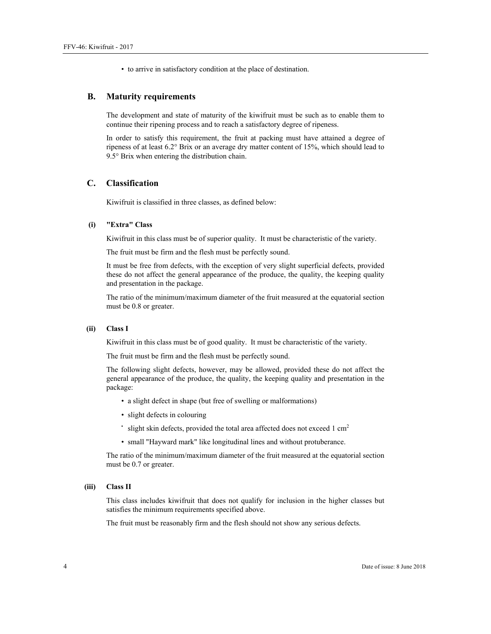• to arrive in satisfactory condition at the place of destination.

#### **B. Maturity requirements**

The development and state of maturity of the kiwifruit must be such as to enable them to continue their ripening process and to reach a satisfactory degree of ripeness.

In order to satisfy this requirement, the fruit at packing must have attained a degree of ripeness of at least 6.2° Brix or an average dry matter content of 15%, which should lead to 9.5° Brix when entering the distribution chain.

#### **C. Classification**

Kiwifruit is classified in three classes, as defined below:

#### **(i) "Extra" Class**

Kiwifruit in this class must be of superior quality. It must be characteristic of the variety.

The fruit must be firm and the flesh must be perfectly sound.

It must be free from defects, with the exception of very slight superficial defects, provided these do not affect the general appearance of the produce, the quality, the keeping quality and presentation in the package.

The ratio of the minimum/maximum diameter of the fruit measured at the equatorial section must be 0.8 or greater.

#### **(ii) Class I**

Kiwifruit in this class must be of good quality. It must be characteristic of the variety.

The fruit must be firm and the flesh must be perfectly sound.

The following slight defects, however, may be allowed, provided these do not affect the general appearance of the produce, the quality, the keeping quality and presentation in the package:

- a slight defect in shape (but free of swelling or malformations)
- slight defects in colouring
- $\cdot$  slight skin defects, provided the total area affected does not exceed 1 cm<sup>2</sup>
- small "Hayward mark" like longitudinal lines and without protuberance.

The ratio of the minimum/maximum diameter of the fruit measured at the equatorial section must be 0.7 or greater.

#### **(iii) Class II**

This class includes kiwifruit that does not qualify for inclusion in the higher classes but satisfies the minimum requirements specified above.

The fruit must be reasonably firm and the flesh should not show any serious defects.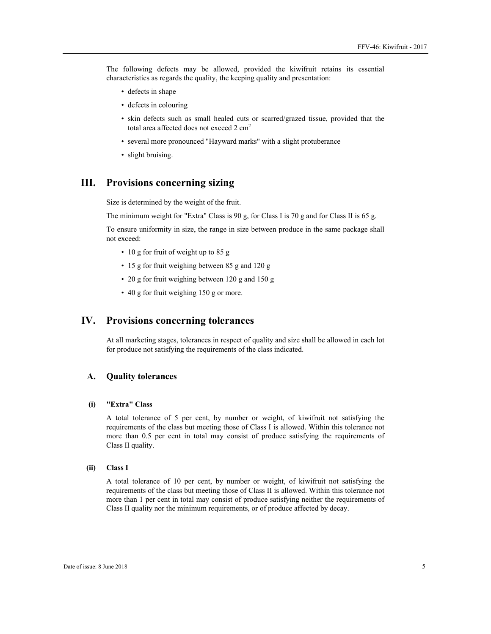The following defects may be allowed, provided the kiwifruit retains its essential characteristics as regards the quality, the keeping quality and presentation:

- defects in shape
- defects in colouring
- skin defects such as small healed cuts or scarred/grazed tissue, provided that the total area affected does not exceed 2 cm<sup>2</sup>
- several more pronounced "Hayward marks" with a slight protuberance
- slight bruising.

# **III. Provisions concerning sizing**

Size is determined by the weight of the fruit.

The minimum weight for "Extra" Class is 90 g, for Class I is 70 g and for Class II is 65 g.

To ensure uniformity in size, the range in size between produce in the same package shall not exceed:

- 10 g for fruit of weight up to 85 g
- 15 g for fruit weighing between 85 g and 120 g
- 20 g for fruit weighing between 120 g and 150 g
- 40 g for fruit weighing 150 g or more.

# **IV. Provisions concerning tolerances**

At all marketing stages, tolerances in respect of quality and size shall be allowed in each lot for produce not satisfying the requirements of the class indicated.

#### **A. Quality tolerances**

#### **(i) "Extra" Class**

A total tolerance of 5 per cent, by number or weight, of kiwifruit not satisfying the requirements of the class but meeting those of Class I is allowed. Within this tolerance not more than 0.5 per cent in total may consist of produce satisfying the requirements of Class II quality.

#### **(ii) Class I**

A total tolerance of 10 per cent, by number or weight, of kiwifruit not satisfying the requirements of the class but meeting those of Class II is allowed. Within this tolerance not more than 1 per cent in total may consist of produce satisfying neither the requirements of Class II quality nor the minimum requirements, or of produce affected by decay.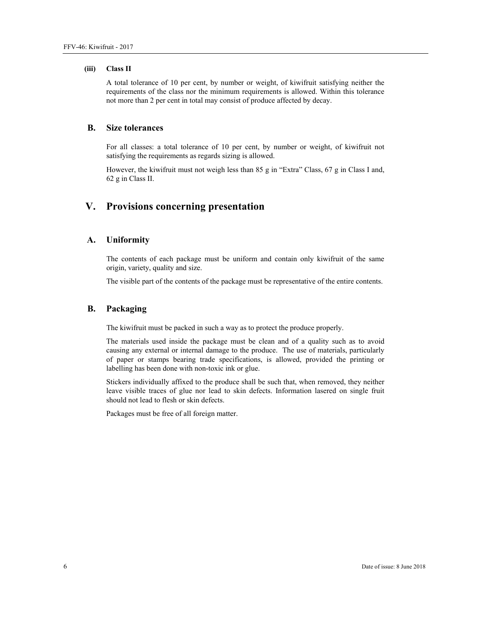#### **(iii) Class II**

A total tolerance of 10 per cent, by number or weight, of kiwifruit satisfying neither the requirements of the class nor the minimum requirements is allowed. Within this tolerance not more than 2 per cent in total may consist of produce affected by decay.

### **B. Size tolerances**

For all classes: a total tolerance of 10 per cent, by number or weight, of kiwifruit not satisfying the requirements as regards sizing is allowed.

However, the kiwifruit must not weigh less than 85 g in "Extra" Class, 67 g in Class I and, 62 g in Class II.

# **V. Provisions concerning presentation**

#### **A. Uniformity**

The contents of each package must be uniform and contain only kiwifruit of the same origin, variety, quality and size.

The visible part of the contents of the package must be representative of the entire contents.

#### **B. Packaging**

The kiwifruit must be packed in such a way as to protect the produce properly.

The materials used inside the package must be clean and of a quality such as to avoid causing any external or internal damage to the produce. The use of materials, particularly of paper or stamps bearing trade specifications, is allowed, provided the printing or labelling has been done with non-toxic ink or glue.

Stickers individually affixed to the produce shall be such that, when removed, they neither leave visible traces of glue nor lead to skin defects. Information lasered on single fruit should not lead to flesh or skin defects.

Packages must be free of all foreign matter.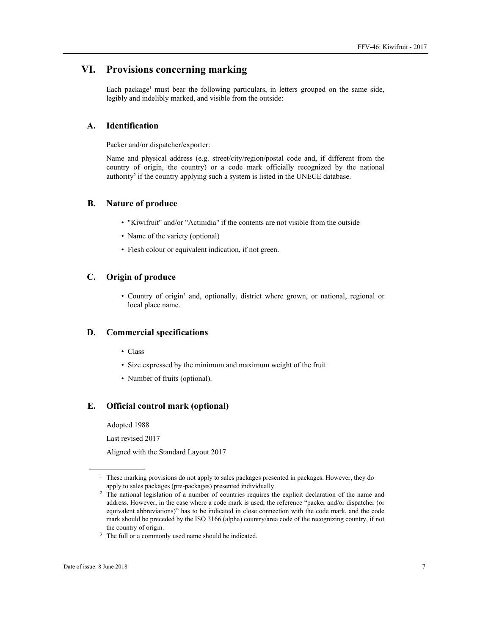# **VI. Provisions concerning marking**

Each package<sup>1</sup> must bear the following particulars, in letters grouped on the same side, legibly and indelibly marked, and visible from the outside:

## **A. Identification**

Packer and/or dispatcher/exporter:

Name and physical address (e.g. street/city/region/postal code and, if different from the country of origin, the country) or a code mark officially recognized by the national authority<sup>2</sup> if the country applying such a system is listed in the UNECE database.

#### **B. Nature of produce**

- "Kiwifruit" and/or "Actinidia" if the contents are not visible from the outside
- Name of the variety (optional)
- Flesh colour or equivalent indication, if not green.

## **C. Origin of produce**

• Country of origin<sup>3</sup> and, optionally, district where grown, or national, regional or local place name.

#### **D. Commercial specifications**

- Class
- Size expressed by the minimum and maximum weight of the fruit
- Number of fruits (optional).

#### **E. Official control mark (optional)**

Adopted 1988

Last revised 2017

Aligned with the Standard Layout 2017

 $\overline{a}$ 

<sup>&</sup>lt;sup>1</sup> These marking provisions do not apply to sales packages presented in packages. However, they do

apply to sales packages (pre-packages) presented individually. 2 The national legislation of a number of countries requires the explicit declaration of the name and address. However, in the case where a code mark is used, the reference "packer and/or dispatcher (or equivalent abbreviations)" has to be indicated in close connection with the code mark, and the code mark should be preceded by the ISO 3166 (alpha) country/area code of the recognizing country, if not

the country of origin.<br> $3$  The full or a commonly used name should be indicated.